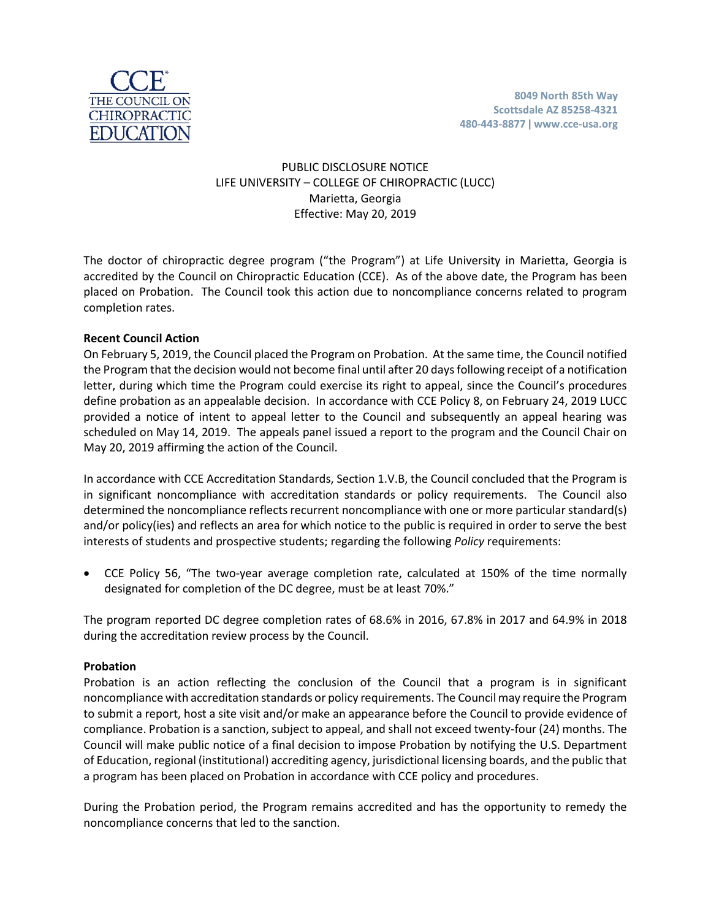

# PUBLIC DISCLOSURE NOTICE LIFE UNIVERSITY – COLLEGE OF CHIROPRACTIC (LUCC) Marietta, Georgia Effective: May 20, 2019

The doctor of chiropractic degree program ("the Program") at Life University in Marietta, Georgia is accredited by the Council on Chiropractic Education (CCE). As of the above date, the Program has been placed on Probation. The Council took this action due to noncompliance concerns related to program completion rates.

# **Recent Council Action**

On February 5, 2019, the Council placed the Program on Probation. At the same time, the Council notified the Program that the decision would not become final until after 20 days following receipt of a notification letter, during which time the Program could exercise its right to appeal, since the Council's procedures define probation as an appealable decision. In accordance with CCE Policy 8, on February 24, 2019 LUCC provided a notice of intent to appeal letter to the Council and subsequently an appeal hearing was scheduled on May 14, 2019. The appeals panel issued a report to the program and the Council Chair on May 20, 2019 affirming the action of the Council.

In accordance with CCE Accreditation Standards, Section 1.V.B, the Council concluded that the Program is in significant noncompliance with accreditation standards or policy requirements. The Council also determined the noncompliance reflects recurrent noncompliance with one or more particular standard(s) and/or policy(ies) and reflects an area for which notice to the public is required in order to serve the best interests of students and prospective students; regarding the following *Policy* requirements:

• CCE Policy 56, "The two-year average completion rate, calculated at 150% of the time normally designated for completion of the DC degree, must be at least 70%."

The program reported DC degree completion rates of 68.6% in 2016, 67.8% in 2017 and 64.9% in 2018 during the accreditation review process by the Council.

# **Probation**

Probation is an action reflecting the conclusion of the Council that a program is in significant noncompliance with accreditation standards or policy requirements. The Council may require the Program to submit a report, host a site visit and/or make an appearance before the Council to provide evidence of compliance. Probation is a sanction, subject to appeal, and shall not exceed twenty-four (24) months. The Council will make public notice of a final decision to impose Probation by notifying the U.S. Department of Education, regional (institutional) accrediting agency, jurisdictional licensing boards, and the public that a program has been placed on Probation in accordance with CCE policy and procedures.

During the Probation period, the Program remains accredited and has the opportunity to remedy the noncompliance concerns that led to the sanction.